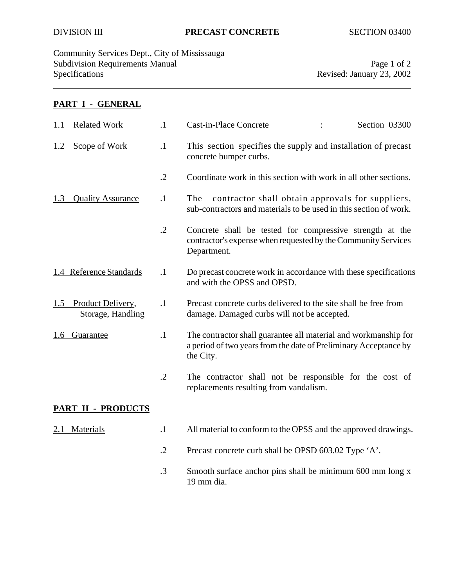Community Services Dept., City of Mississauga Subdivision Requirements Manual Page 1 of 2<br>Specifications Page 1 of 2<br>Revised: January 23, 2002

Revised: January 23, 2002

## **PART I - GENERAL**

| <b>Related Work</b><br>1.1                    | $\cdot$ 1  | <b>Cast-in-Place Concrete</b><br>Section 03300                                                                                                   |
|-----------------------------------------------|------------|--------------------------------------------------------------------------------------------------------------------------------------------------|
| Scope of Work<br>1.2                          | $\cdot$ 1  | This section specifies the supply and installation of precast<br>concrete bumper curbs.                                                          |
|                                               | $\cdot$ .2 | Coordinate work in this section with work in all other sections.                                                                                 |
| <b>Quality Assurance</b><br>1.3               | $\cdot$ 1  | contractor shall obtain approvals for suppliers,<br>The<br>sub-contractors and materials to be used in this section of work.                     |
|                                               | $\cdot$ .2 | Concrete shall be tested for compressive strength at the<br>contractor's expense when requested by the Community Services<br>Department.         |
| 1.4 Reference Standards                       | $\cdot$ 1  | Do precast concrete work in accordance with these specifications<br>and with the OPSS and OPSD.                                                  |
| Product Delivery,<br>1.5<br>Storage, Handling | $\cdot$ 1  | Precast concrete curbs delivered to the site shall be free from<br>damage. Damaged curbs will not be accepted.                                   |
| 1.6 Guarantee                                 | $\cdot$ 1  | The contractor shall guarantee all material and workmanship for<br>a period of two years from the date of Preliminary Acceptance by<br>the City. |
|                                               | $\cdot$ .2 | The contractor shall not be responsible for the cost of<br>replacements resulting from vandalism.                                                |
| <b>PART II - PRODUCTS</b>                     |            |                                                                                                                                                  |
| Materials<br>2.1                              | $\cdot$ 1  | All material to conform to the OPSS and the approved drawings.                                                                                   |
|                                               | $\cdot$ .2 | Precast concrete curb shall be OPSD 603.02 Type 'A'.                                                                                             |
|                                               | $\cdot$ 3  | Smooth surface anchor pins shall be minimum 600 mm long x<br>19 mm dia.                                                                          |